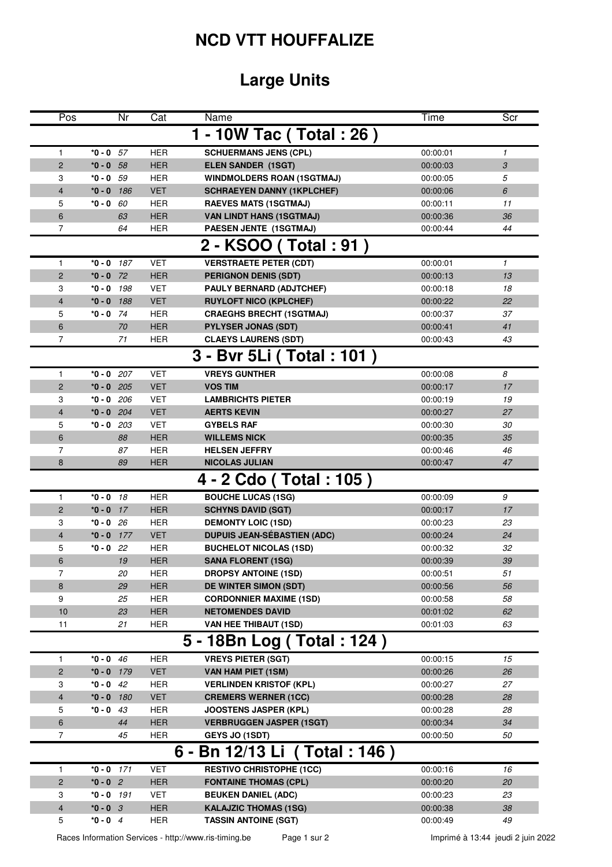## **NCD VTT HOUFFALIZE**

## **Large Units**

|                              | Pos                        |              | $\overline{\text{Cat}}$<br>Nr | Name                               | Time     | Scr          |  |  |  |  |  |  |  |
|------------------------------|----------------------------|--------------|-------------------------------|------------------------------------|----------|--------------|--|--|--|--|--|--|--|
|                              |                            |              |                               | 1 - 10W Tac ( Total : 26 )         |          |              |  |  |  |  |  |  |  |
| $\mathbf{1}$                 | *0 - 0                     |              | <b>HER</b><br>57              | <b>SCHUERMANS JENS (CPL)</b>       | 00:00:01 | $\mathbf{1}$ |  |  |  |  |  |  |  |
|                              | $\overline{2}$<br>$*0 - 0$ |              | <b>HER</b><br>58              | <b>ELEN SANDER (1SGT)</b>          | 00:00:03 | 3            |  |  |  |  |  |  |  |
| 3                            |                            | $*0 - 0$ 59  | <b>HER</b>                    | <b>WINDMOLDERS ROAN (1SGTMAJ)</b>  | 00:00:05 | 5            |  |  |  |  |  |  |  |
|                              | 4<br>$*0 - 0$              |              | <b>VET</b><br>186             | <b>SCHRAEYEN DANNY (1KPLCHEF)</b>  | 00:00:06 | 6            |  |  |  |  |  |  |  |
|                              | $*0 - 0$<br>5              |              | 60<br><b>HER</b>              | <b>RAEVES MATS (1SGTMAJ)</b>       | 00:00:11 | 11           |  |  |  |  |  |  |  |
|                              | 6                          |              | <b>HER</b><br>63              | <b>VAN LINDT HANS (1SGTMAJ)</b>    | 00:00:36 | 36           |  |  |  |  |  |  |  |
|                              | 7                          |              | <b>HER</b><br>64              | PAESEN JENTE (1SGTMAJ)             | 00:00:44 | 44           |  |  |  |  |  |  |  |
| 2 - KSOO (Total: 91)         |                            |              |                               |                                    |          |              |  |  |  |  |  |  |  |
| 1                            | $*0 - 0$                   |              | <b>VET</b><br>187             | <b>VERSTRAETE PETER (CDT)</b>      | 00:00:01 | $\mathbf{1}$ |  |  |  |  |  |  |  |
|                              | $\overline{2}$<br>$*0 - 0$ |              | 72<br><b>HER</b>              | <b>PERIGNON DENIS (SDT)</b>        | 00:00:13 | 13           |  |  |  |  |  |  |  |
|                              | 3<br>*0 - 0                |              | 198<br><b>VET</b>             | PAULY BERNARD (ADJTCHEF)           | 00:00:18 | 18           |  |  |  |  |  |  |  |
|                              | 4<br>$*0 - 0$              |              | <b>VET</b><br>188             | <b>RUYLOFT NICO (KPLCHEF)</b>      | 00:00:22 | 22           |  |  |  |  |  |  |  |
| 5                            |                            | $*0 - 0$ 74  | <b>HER</b>                    | <b>CRAEGHS BRECHT (1SGTMAJ)</b>    | 00:00:37 | 37           |  |  |  |  |  |  |  |
|                              | 6                          |              | <b>HER</b><br>70              | <b>PYLYSER JONAS (SDT)</b>         | 00:00:41 | 41           |  |  |  |  |  |  |  |
|                              | 7                          |              | 71<br><b>HER</b>              | <b>CLAEYS LAURENS (SDT)</b>        | 00:00:43 | 43           |  |  |  |  |  |  |  |
| 3 - Bvr 5Li (Total: 101)     |                            |              |                               |                                    |          |              |  |  |  |  |  |  |  |
|                              | 1                          | $*0 - 0$ 207 | <b>VET</b>                    | <b>VREYS GUNTHER</b>               | 00:00:08 | 8            |  |  |  |  |  |  |  |
|                              | $\overline{c}$             | $*0 - 0$ 205 | <b>VET</b>                    | <b>VOS TIM</b>                     | 00:00:17 | 17           |  |  |  |  |  |  |  |
| 3                            |                            | $*0 - 0$ 206 | <b>VET</b>                    | <b>LAMBRICHTS PIETER</b>           | 00:00:19 | 19           |  |  |  |  |  |  |  |
|                              | 4                          | $*0 - 0$ 204 | <b>VET</b>                    | <b>AERTS KEVIN</b>                 | 00:00:27 | 27           |  |  |  |  |  |  |  |
| 5                            |                            | $*0 - 0$ 203 | <b>VET</b>                    | <b>GYBELS RAF</b>                  | 00:00:30 | 30           |  |  |  |  |  |  |  |
|                              | 6                          |              | 88<br><b>HER</b>              | <b>WILLEMS NICK</b>                | 00:00:35 | 35           |  |  |  |  |  |  |  |
|                              | 7                          |              | <b>HER</b><br>87              | <b>HELSEN JEFFRY</b>               | 00:00:46 | 46           |  |  |  |  |  |  |  |
| 8                            |                            |              | <b>HER</b><br>89              | <b>NICOLAS JULIAN</b>              | 00:00:47 | 47           |  |  |  |  |  |  |  |
|                              |                            |              |                               | 4 - 2 Cdo (Total: 105)             |          |              |  |  |  |  |  |  |  |
| 1                            | $*0 - 0$                   |              | <b>HER</b><br>18              | <b>BOUCHE LUCAS (1SG)</b>          | 00:00:09 | 9            |  |  |  |  |  |  |  |
|                              | $\overline{c}$<br>$*0 - 0$ |              | 17<br><b>HER</b>              | <b>SCHYNS DAVID (SGT)</b>          | 00:00:17 | 17           |  |  |  |  |  |  |  |
| 3                            |                            | $*0 - 0$ 26  | <b>HER</b>                    | <b>DEMONTY LOIC (1SD)</b>          | 00:00:23 | 23           |  |  |  |  |  |  |  |
|                              | $*0 - 0$<br>4              |              | <b>VET</b><br>177             | <b>DUPUIS JEAN-SÉBASTIEN (ADC)</b> | 00:00:24 | 24           |  |  |  |  |  |  |  |
| 5                            | *0 - 0                     |              | <b>HER</b><br>22              | <b>BUCHELOT NICOLAS (1SD)</b>      | 00:00:32 | 32           |  |  |  |  |  |  |  |
|                              | 6                          |              | <b>HER</b><br>19              | <b>SANA FLORENT (1SG)</b>          | 00:00:39 | 39           |  |  |  |  |  |  |  |
|                              | 7                          |              | 20<br><b>HER</b>              | <b>DROPSY ANTOINE (1SD)</b>        | 00:00:51 | 51           |  |  |  |  |  |  |  |
|                              | 8                          |              | <b>HER</b><br>29              | <b>DE WINTER SIMON (SDT)</b>       | 00:00:56 | 56           |  |  |  |  |  |  |  |
|                              | 9                          |              | 25<br><b>HER</b>              | <b>CORDONNIER MAXIME (1SD)</b>     | 00:00:58 | 58           |  |  |  |  |  |  |  |
|                              | 10                         |              | 23<br><b>HER</b>              | <b>NETOMENDES DAVID</b>            | 00:01:02 | 62           |  |  |  |  |  |  |  |
|                              | 11                         |              | <b>HER</b><br>21              | <b>VAN HEE THIBAUT (1SD)</b>       | 00:01:03 | 63           |  |  |  |  |  |  |  |
|                              |                            |              |                               | 5 - 18Bn Log (Total: 124)          |          |              |  |  |  |  |  |  |  |
|                              | $*0 - 0$<br>1              |              | <b>HER</b><br>46              | <b>VREYS PIETER (SGT)</b>          | 00:00:15 | 15           |  |  |  |  |  |  |  |
|                              | $\overline{c}$<br>$*0 - 0$ |              | <b>VET</b><br>179             | VAN HAM PIET (1SM)                 | 00:00:26 | 26           |  |  |  |  |  |  |  |
| 3                            | $*0 - 0$                   |              | 42<br><b>HER</b>              | <b>VERLINDEN KRISTOF (KPL)</b>     | 00:00:27 | 27           |  |  |  |  |  |  |  |
|                              | 4<br>$*0 - 0$              |              | <b>VET</b><br>180             | <b>CREMERS WERNER (1CC)</b>        | 00:00:28 | 28           |  |  |  |  |  |  |  |
| 5                            | $*0 - 0$                   |              | <b>HER</b><br>43              | <b>JOOSTENS JASPER (KPL)</b>       | 00:00:28 | 28           |  |  |  |  |  |  |  |
|                              | 6                          |              | 44<br><b>HER</b>              | <b>VERBRUGGEN JASPER (1SGT)</b>    | 00:00:34 | 34           |  |  |  |  |  |  |  |
|                              | 7                          |              | <b>HER</b><br>45              | <b>GEYS JO (1SDT)</b>              | 00:00:50 | 50           |  |  |  |  |  |  |  |
| 6 - Bn 12/13 Li (Total: 146) |                            |              |                               |                                    |          |              |  |  |  |  |  |  |  |
|                              | 1                          | $*0 - 0$ 171 | <b>VET</b>                    | <b>RESTIVO CHRISTOPHE (1CC)</b>    | 00:00:16 | 16           |  |  |  |  |  |  |  |
|                              | $\overline{\mathbf{c}}$    | $*0 - 0$ 2   | <b>HER</b>                    | <b>FONTAINE THOMAS (CPL)</b>       | 00:00:20 | 20           |  |  |  |  |  |  |  |
| 3                            |                            | $*0 - 0$ 191 | <b>VET</b>                    | <b>BEUKEN DANIEL (ADC)</b>         | 00:00:23 | 23           |  |  |  |  |  |  |  |
|                              | $\overline{4}$             | $*0 - 0$ 3   | <b>HER</b>                    | <b>KALAJZIC THOMAS (1SG)</b>       | 00:00:38 | 38           |  |  |  |  |  |  |  |
|                              | 5                          | $*0 - 0$ 4   | <b>HER</b>                    | <b>TASSIN ANTOINE (SGT)</b>        | 00:00:49 | 49           |  |  |  |  |  |  |  |

Races Information Services - http://www.ris-timing.be Page 1 sur 2 **Imprimé à 13:44** jeudi 2 juin 2022